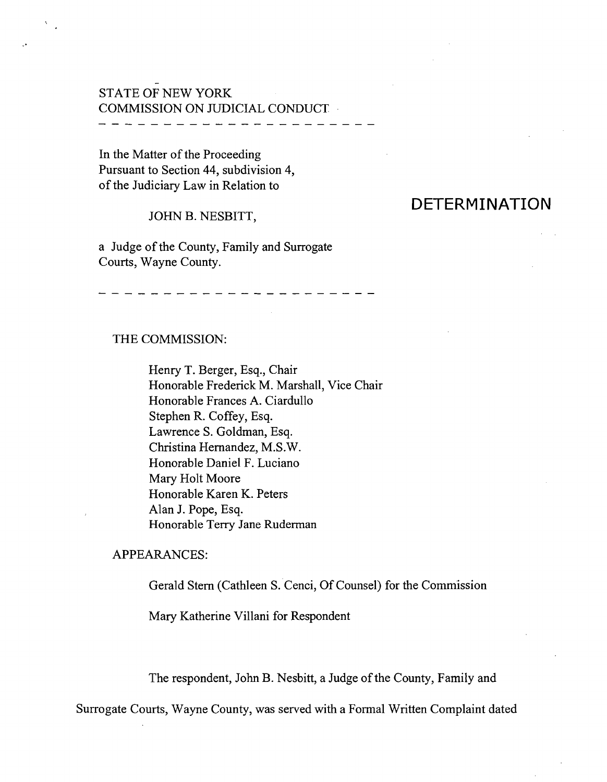## STATE OF NEW YORK COMMISSION ON JUDICIAL CONDUCT

In the Matter of the Proceeding Pursuant to Section 44, subdivision 4, of the Judiciary Law in Relation to

#### JOHN B. NESBITT,

a Judge of the County, Family and Surrogate Courts, Wayne County.

# **DETERMINATION**

#### THE COMMISSION:

Henry T. Berger, Esq., Chair Honorable Frederick M. Marshall, Vice Chair Honorable Frances A. Ciardullo Stephen R. Coffey, Esq. Lawrence S. Goldman, Esq. Christina Hernandez, M.S.W. Honorable Daniel F. Luciano Mary Holt Moore Honorable Karen K. Peters Alan J. Pope, Esq. Honorable Terry Jane Ruderman

-----------------

#### APPEARANCES:

Gerald Stern (Cathleen S. Cenci, Of Counsel) for the Commission

Mary Katherine Villani for Respondent

The respondent, John B. Nesbitt, a Judge of the County, Family and

Surrogate Courts, Wayne County, was served with a Formal Written Complaint dated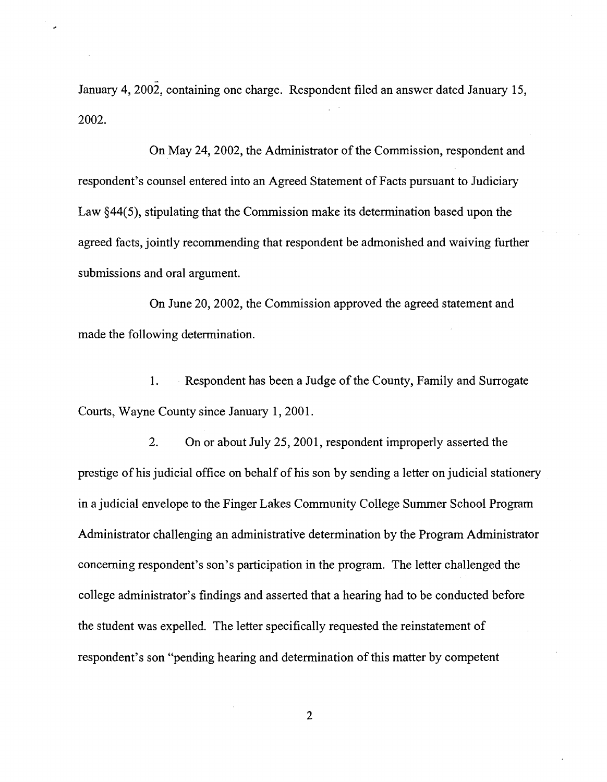January 4, 2002, containing one charge. Respondent filed an answer dated January 15, 2002.

On May 24, 2002, the Administrator of the Commission, respondent and respondent's counsel entered into an Agreed Statement of Facts pursuant to Judiciary Law  $§44(5)$ , stipulating that the Commission make its determination based upon the agreed facts, jointly recommending that respondent be admonished and waiving further submissions and oral argument.

On June 20, 2002, the Commission approved the agreed statement and made the following determination.

1. Respondent has been a Judge of the County, Family and Surrogate Courts, Wayne County since January 1, 2001.

2. On or about July 25, 2001, respondent improperly asserted the prestige of his judicial office on behalf of his son by sending a letter on judicial stationery in a judicial envelope to the Finger Lakes Community College Summer School Program Administrator challenging an administrative determination by the Program Administrator concerning respondent's son's participation in the program. The letter challenged the college administrator's findings and asserted that a hearing had to be conducted before the student was expelled. The letter specifically requested the reinstatement of respondent's son "pending hearing and determination of this matter by competent

2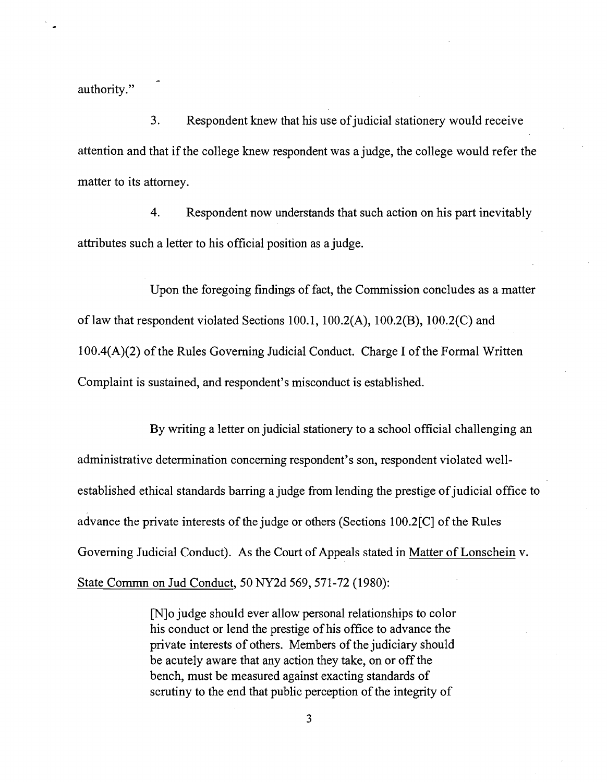authority."

3. Respondent knew that his use of judicial stationery would receive attention and that if the college knew respondent was a judge, the college would refer the matter to its attorney.

4. Respondent now understands that such action on his part inevitably attributes such a letter to his official position as a judge.

Upon the foregoing findings of fact, the Commission concludes as a matter of law that respondent violated Sections 100.1, 100.2(A), 100.2(B), 100.2(C) and  $100.4(A)(2)$  of the Rules Governing Judicial Conduct. Charge I of the Formal Written Complaint is sustained, and respondent's misconduct is established.

By writing a letter on judicial stationery to a school official challenging an administrative determination concerning respondent's son, respondent violated wellestablished ethical standards barring a judge from lending the prestige of judicial office to advance the private interests of the judge or others (Sections  $100.2\text{[C]}$  of the Rules Governing Judicial Conduct). As the Court of Appeals stated in Matter of Lonschein v. State Commn on Jud Conduct, 50 NY2d 569,571-72 (1980):

> [N]o judge should ever allow personal relationships to color his conduct or lend the prestige of his office to advance the private interests of others. Members of the judiciary should be acutely aware that any action they take, on or off the bench, must be measured against exacting standards of scrutiny to the end that public perception of the integrity of

> > 3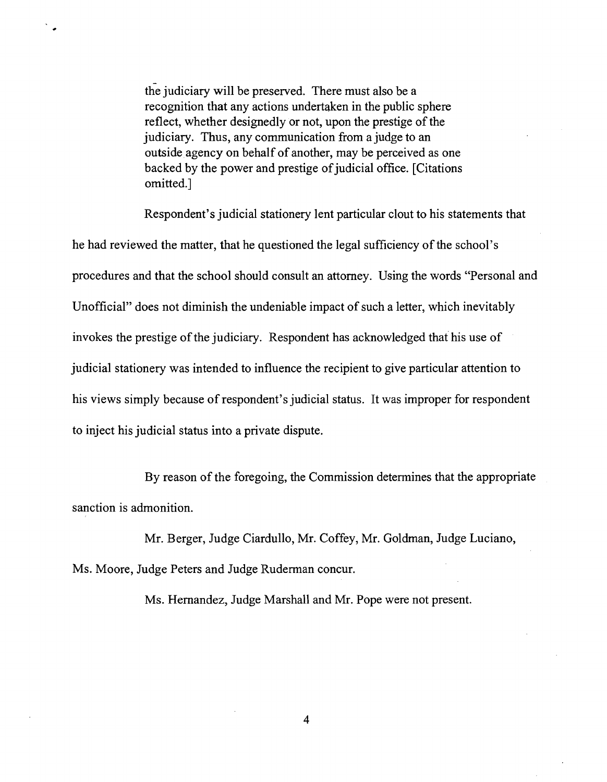the judiciary will be preserved. There must also be a recognition that any actions undertaken in the public sphere reflect, whether designedly or not, upon the prestige of the judiciary. Thus, any communication from a judge to an outside agency on behalf of another, may be perceived as one backed by the power and prestige of judicial office. [Citations] omitted.]

Respondent's judicial stationery lent particular clout to his statements that he had reviewed the matter, that he questioned the legal sufficiency of the school's procedures and that the school should consult an attorney. Using the words "Personal and Unofficial" does not diminish the undeniable impact of such a letter, which inevitably invokes the prestige of the judiciary. Respondent has acknowledged that his use of judicial stationery was intended to influence the recipient to give particular attention to his views simply because of respondent's judicial status. It was improper for respondent to inject his judicial status into a private dispute.

By reason of the foregoing, the Commission determines that the appropriate sanction is admonition.

Mr. Berger, Judge Ciardullo, Mr. Coffey, Mr. Goldman, Judge Luciano, Ms. Moore, Judge Peters and Judge Ruderman concur.

Ms. Hernandez, Judge Marshall and Mr. Pope were not present.